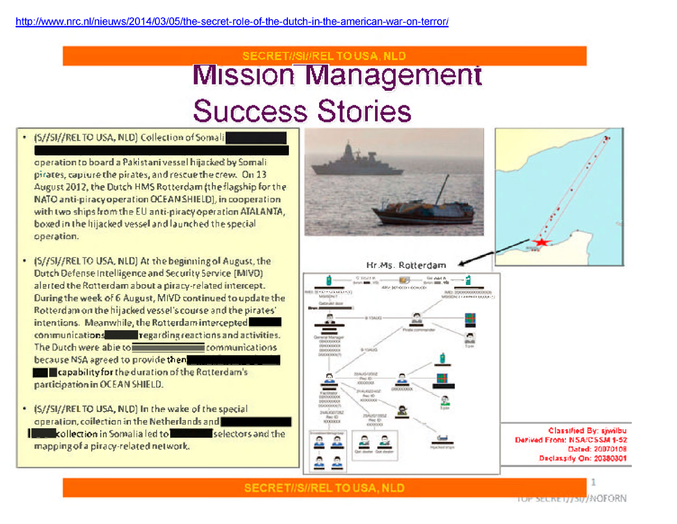## SECRET//SI//RELTO USA, NLD **Mission Management Success Stories**

## · (S//SI//RELTO USA, NLD) Collection of Somali

operation to board a Pakistani vessel hijacked by Somali pirates, capture the pirates, and rescue the crew. On 13 August 2012, the Dutch HMS Rotterdam (the flagship for the NATO anti-piracy operation OCEAN SHIELD), in cooperation with two ships from the EU anti-piracy operation ATALANTA, boxed in the hijacked vessel and launched the special operation.

. (S//SI//RELTO USA, NLD) At the beginning of August, the Dutch Defense Intelligence and Security Service (MIVD) alerted the Rotterdam about a piracy-related intercept. During the week of 6 August, MIVD continued to update the Rotterdam on the hijacked vessel's course and the pirates' intentions. Meanwhile, the Rotterdam intercepted communications regarding reactions and activities. The Dutch were able to **The Communications** communications because NSA agreed to provide then

**Example 1** Capability for the duration of the Rotterdam's participation in OCEAN SHIELD.

. (S//SI//RELTO USA, NLD) In the wake of the special operation, coilection in the Netherlands and **Excellention in Somalia led to <b>The Contract Selectors** and the mapping of a piracy-related network.



**SECRET//S//REL TO USA, NLD**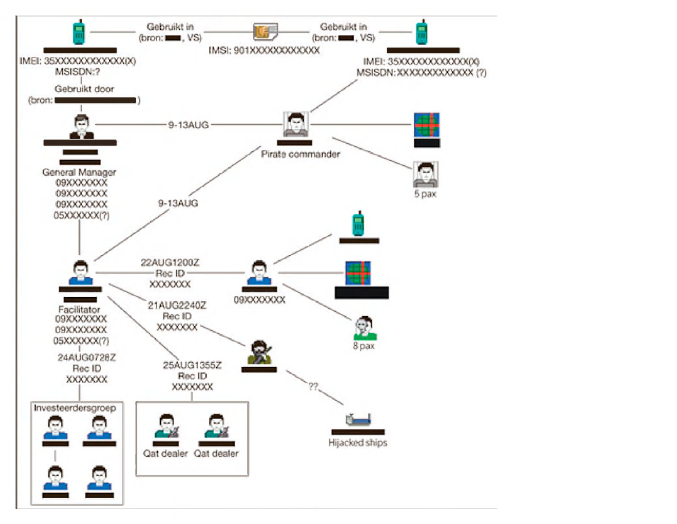